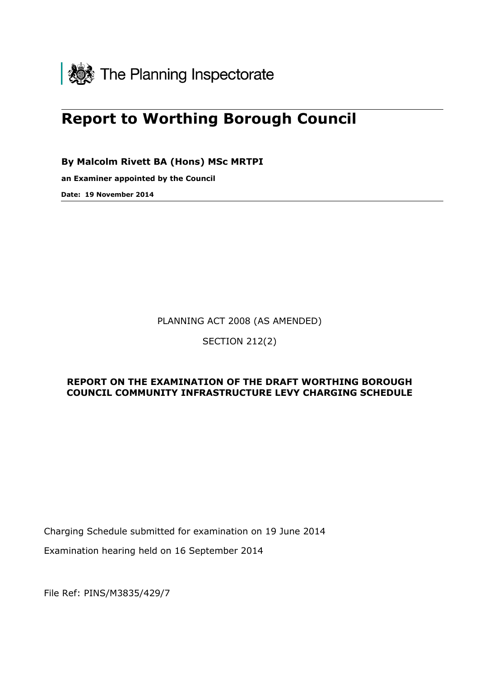

# **Report to Worthing Borough Council**

**By Malcolm Rivett BA (Hons) MSc MRTPI**

**an Examiner appointed by the Council** 

**Date: 19 November 2014**

PLANNING ACT 2008 (AS AMENDED)

SECTION 212(2)

# **REPORT ON THE EXAMINATION OF THE DRAFT WORTHING BOROUGH COUNCIL COMMUNITY INFRASTRUCTURE LEVY CHARGING SCHEDULE**

Charging Schedule submitted for examination on 19 June 2014

Examination hearing held on 16 September 2014

File Ref: PINS/M3835/429/7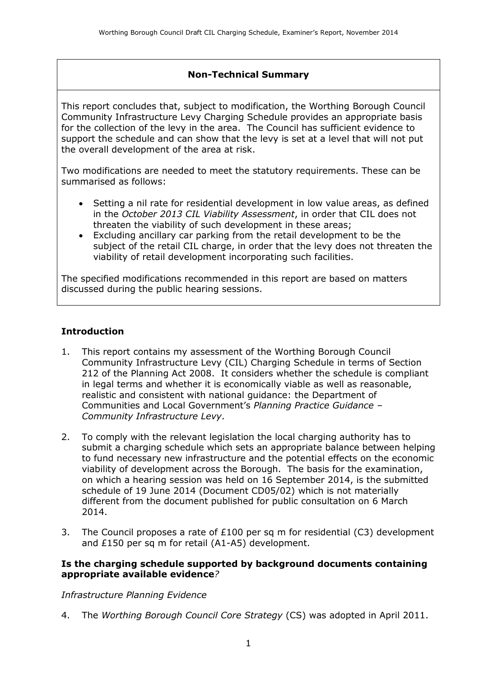# **Non-Technical Summary**

This report concludes that, subject to modification, the Worthing Borough Council Community Infrastructure Levy Charging Schedule provides an appropriate basis for the collection of the levy in the area. The Council has sufficient evidence to support the schedule and can show that the levy is set at a level that will not put the overall development of the area at risk.

Two modifications are needed to meet the statutory requirements. These can be summarised as follows:

- Setting a nil rate for residential development in low value areas, as defined in the *October 2013 CIL Viability Assessment*, in order that CIL does not threaten the viability of such development in these areas;
- Excluding ancillary car parking from the retail development to be the subject of the retail CIL charge, in order that the levy does not threaten the viability of retail development incorporating such facilities.

The specified modifications recommended in this report are based on matters discussed during the public hearing sessions.

# **Introduction**

- 1. This report contains my assessment of the Worthing Borough Council Community Infrastructure Levy (CIL) Charging Schedule in terms of Section 212 of the Planning Act 2008. It considers whether the schedule is compliant in legal terms and whether it is economically viable as well as reasonable, realistic and consistent with national guidance: the Department of Communities and Local Government's *Planning Practice Guidance – Community Infrastructure Levy*.
- 2. To comply with the relevant legislation the local charging authority has to submit a charging schedule which sets an appropriate balance between helping to fund necessary new infrastructure and the potential effects on the economic viability of development across the Borough. The basis for the examination, on which a hearing session was held on 16 September 2014, is the submitted schedule of 19 June 2014 (Document CD05/02) which is not materially different from the document published for public consultation on 6 March 2014.
- 3. The Council proposes a rate of £100 per sq m for residential (C3) development and £150 per sq m for retail (A1-A5) development.

#### **Is the charging schedule supported by background documents containing appropriate available evidence***?*

*Infrastructure Planning Evidence*

4. The *Worthing Borough Council Core Strategy* (CS) was adopted in April 2011.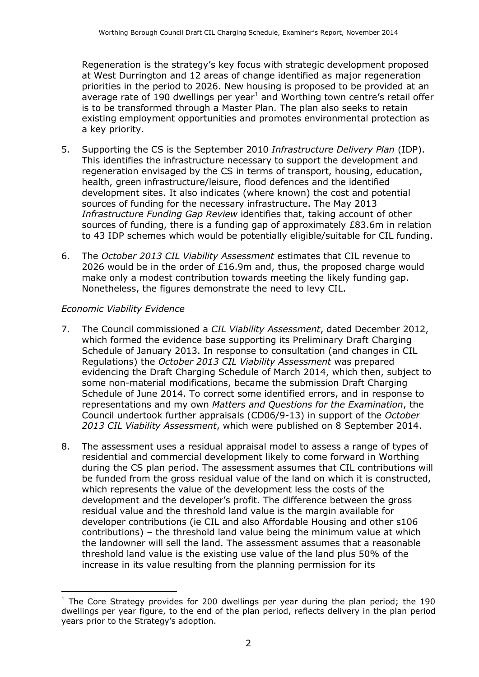Regeneration is the strategy's key focus with strategic development proposed at West Durrington and 12 areas of change identified as major regeneration priorities in the period to 2026. New housing is proposed to be provided at an average rate of 190 dwellings per year<sup>1</sup> and Worthing town centre's retail offer is to be transformed through a Master Plan. The plan also seeks to retain existing employment opportunities and promotes environmental protection as a key priority.

- 5. Supporting the CS is the September 2010 *Infrastructure Delivery Plan* (IDP). This identifies the infrastructure necessary to support the development and regeneration envisaged by the CS in terms of transport, housing, education, health, green infrastructure/leisure, flood defences and the identified development sites. It also indicates (where known) the cost and potential sources of funding for the necessary infrastructure. The May 2013 *Infrastructure Funding Gap Review* identifies that, taking account of other sources of funding, there is a funding gap of approximately £83.6m in relation to 43 IDP schemes which would be potentially eligible/suitable for CIL funding.
- 6. The *October 2013 CIL Viability Assessment* estimates that CIL revenue to 2026 would be in the order of £16.9m and, thus, the proposed charge would make only a modest contribution towards meeting the likely funding gap. Nonetheless, the figures demonstrate the need to levy CIL.

#### *Economic Viability Evidence*

- 7. The Council commissioned a *CIL Viability Assessment*, dated December 2012, which formed the evidence base supporting its Preliminary Draft Charging Schedule of January 2013. In response to consultation (and changes in CIL Regulations) the *October 2013 CIL Viability Assessment* was prepared evidencing the Draft Charging Schedule of March 2014, which then, subject to some non-material modifications, became the submission Draft Charging Schedule of June 2014. To correct some identified errors, and in response to representations and my own *Matters and Questions for the Examination*, the Council undertook further appraisals (CD06/9-13) in support of the *October 2013 CIL Viability Assessment*, which were published on 8 September 2014.
- 8. The assessment uses a residual appraisal model to assess a range of types of residential and commercial development likely to come forward in Worthing during the CS plan period. The assessment assumes that CIL contributions will be funded from the gross residual value of the land on which it is constructed, which represents the value of the development less the costs of the development and the developer's profit. The difference between the gross residual value and the threshold land value is the margin available for developer contributions (ie CIL and also Affordable Housing and other s106 contributions) – the threshold land value being the minimum value at which the landowner will sell the land. The assessment assumes that a reasonable threshold land value is the existing use value of the land plus 50% of the increase in its value resulting from the planning permission for its

j  $1$  The Core Strategy provides for 200 dwellings per year during the plan period; the 190 dwellings per year figure, to the end of the plan period, reflects delivery in the plan period years prior to the Strategy's adoption.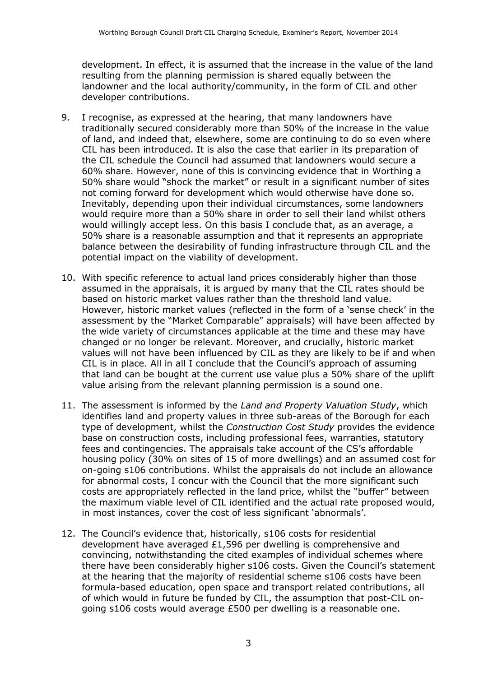development. In effect, it is assumed that the increase in the value of the land resulting from the planning permission is shared equally between the landowner and the local authority/community, in the form of CIL and other developer contributions.

- 9. I recognise, as expressed at the hearing, that many landowners have traditionally secured considerably more than 50% of the increase in the value of land, and indeed that, elsewhere, some are continuing to do so even where CIL has been introduced. It is also the case that earlier in its preparation of the CIL schedule the Council had assumed that landowners would secure a 60% share. However, none of this is convincing evidence that in Worthing a 50% share would "shock the market" or result in a significant number of sites not coming forward for development which would otherwise have done so. Inevitably, depending upon their individual circumstances, some landowners would require more than a 50% share in order to sell their land whilst others would willingly accept less. On this basis I conclude that, as an average, a 50% share is a reasonable assumption and that it represents an appropriate balance between the desirability of funding infrastructure through CIL and the potential impact on the viability of development.
- 10. With specific reference to actual land prices considerably higher than those assumed in the appraisals, it is argued by many that the CIL rates should be based on historic market values rather than the threshold land value. However, historic market values (reflected in the form of a 'sense check' in the assessment by the "Market Comparable" appraisals) will have been affected by the wide variety of circumstances applicable at the time and these may have changed or no longer be relevant. Moreover, and crucially, historic market values will not have been influenced by CIL as they are likely to be if and when CIL is in place. All in all I conclude that the Council's approach of assuming that land can be bought at the current use value plus a 50% share of the uplift value arising from the relevant planning permission is a sound one.
- 11. The assessment is informed by the *Land and Property Valuation Study*, which identifies land and property values in three sub-areas of the Borough for each type of development, whilst the *Construction Cost Study* provides the evidence base on construction costs, including professional fees, warranties, statutory fees and contingencies. The appraisals take account of the CS's affordable housing policy (30% on sites of 15 of more dwellings) and an assumed cost for on-going s106 contributions. Whilst the appraisals do not include an allowance for abnormal costs, I concur with the Council that the more significant such costs are appropriately reflected in the land price, whilst the "buffer" between the maximum viable level of CIL identified and the actual rate proposed would, in most instances, cover the cost of less significant 'abnormals'.
- 12. The Council's evidence that, historically, s106 costs for residential development have averaged £1,596 per dwelling is comprehensive and convincing, notwithstanding the cited examples of individual schemes where there have been considerably higher s106 costs. Given the Council's statement at the hearing that the majority of residential scheme s106 costs have been formula-based education, open space and transport related contributions, all of which would in future be funded by CIL, the assumption that post-CIL ongoing s106 costs would average £500 per dwelling is a reasonable one.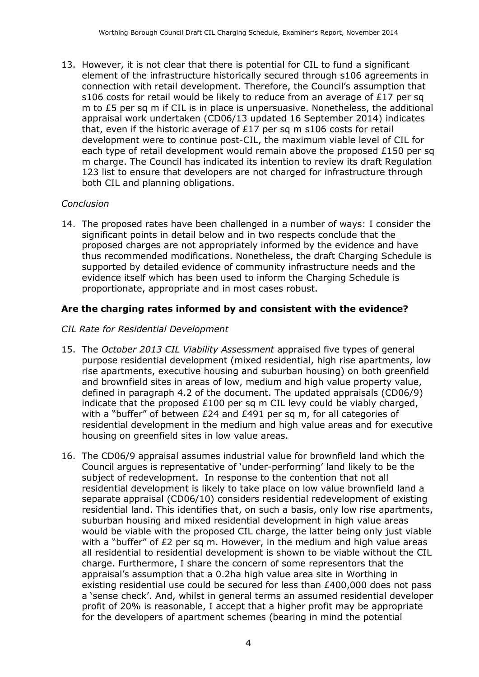13. However, it is not clear that there is potential for CIL to fund a significant element of the infrastructure historically secured through s106 agreements in connection with retail development. Therefore, the Council's assumption that s106 costs for retail would be likely to reduce from an average of £17 per sq m to £5 per sq m if CIL is in place is unpersuasive. Nonetheless, the additional appraisal work undertaken (CD06/13 updated 16 September 2014) indicates that, even if the historic average of £17 per sq m s106 costs for retail development were to continue post-CIL, the maximum viable level of CIL for each type of retail development would remain above the proposed £150 per sq m charge. The Council has indicated its intention to review its draft Regulation 123 list to ensure that developers are not charged for infrastructure through both CIL and planning obligations.

#### *Conclusion*

14. The proposed rates have been challenged in a number of ways: I consider the significant points in detail below and in two respects conclude that the proposed charges are not appropriately informed by the evidence and have thus recommended modifications. Nonetheless, the draft Charging Schedule is supported by detailed evidence of community infrastructure needs and the evidence itself which has been used to inform the Charging Schedule is proportionate, appropriate and in most cases robust.

# **Are the charging rates informed by and consistent with the evidence?**

#### *CIL Rate for Residential Development*

- 15. The *October 2013 CIL Viability Assessment* appraised five types of general purpose residential development (mixed residential, high rise apartments, low rise apartments, executive housing and suburban housing) on both greenfield and brownfield sites in areas of low, medium and high value property value, defined in paragraph 4.2 of the document. The updated appraisals (CD06/9) indicate that the proposed  $£100$  per sq m CIL levy could be viably charged, with a "buffer" of between £24 and £491 per sq m, for all categories of residential development in the medium and high value areas and for executive housing on greenfield sites in low value areas.
- 16. The CD06/9 appraisal assumes industrial value for brownfield land which the Council argues is representative of 'under-performing' land likely to be the subject of redevelopment. In response to the contention that not all residential development is likely to take place on low value brownfield land a separate appraisal (CD06/10) considers residential redevelopment of existing residential land. This identifies that, on such a basis, only low rise apartments, suburban housing and mixed residential development in high value areas would be viable with the proposed CIL charge, the latter being only just viable with a "buffer" of £2 per sq m. However, in the medium and high value areas all residential to residential development is shown to be viable without the CIL charge. Furthermore, I share the concern of some representors that the appraisal's assumption that a 0.2ha high value area site in Worthing in existing residential use could be secured for less than £400,000 does not pass a 'sense check'. And, whilst in general terms an assumed residential developer profit of 20% is reasonable, I accept that a higher profit may be appropriate for the developers of apartment schemes (bearing in mind the potential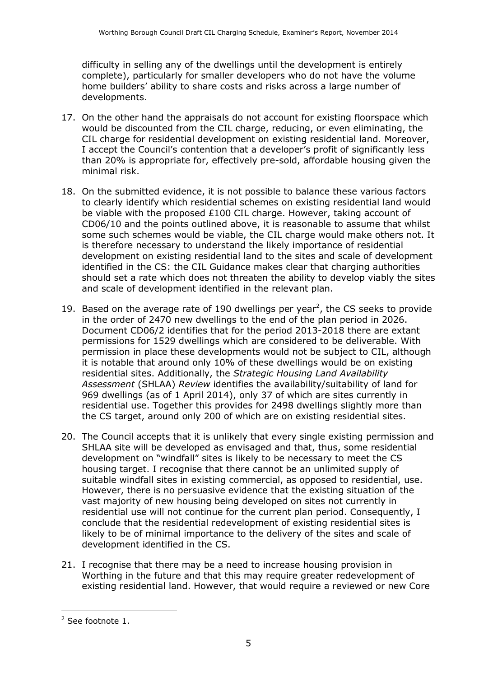difficulty in selling any of the dwellings until the development is entirely complete), particularly for smaller developers who do not have the volume home builders' ability to share costs and risks across a large number of developments.

- 17. On the other hand the appraisals do not account for existing floorspace which would be discounted from the CIL charge, reducing, or even eliminating, the CIL charge for residential development on existing residential land. Moreover, I accept the Council's contention that a developer's profit of significantly less than 20% is appropriate for, effectively pre-sold, affordable housing given the minimal risk.
- 18. On the submitted evidence, it is not possible to balance these various factors to clearly identify which residential schemes on existing residential land would be viable with the proposed £100 CIL charge. However, taking account of CD06/10 and the points outlined above, it is reasonable to assume that whilst some such schemes would be viable, the CIL charge would make others not. It is therefore necessary to understand the likely importance of residential development on existing residential land to the sites and scale of development identified in the CS: the CIL Guidance makes clear that charging authorities should set a rate which does not threaten the ability to develop viably the sites and scale of development identified in the relevant plan.
- 19. Based on the average rate of 190 dwellings per year<sup>2</sup>, the CS seeks to provide in the order of 2470 new dwellings to the end of the plan period in 2026. Document CD06/2 identifies that for the period 2013-2018 there are extant permissions for 1529 dwellings which are considered to be deliverable. With permission in place these developments would not be subject to CIL, although it is notable that around only 10% of these dwellings would be on existing residential sites. Additionally, the *Strategic Housing Land Availability Assessment* (SHLAA) *Review* identifies the availability/suitability of land for 969 dwellings (as of 1 April 2014), only 37 of which are sites currently in residential use. Together this provides for 2498 dwellings slightly more than the CS target, around only 200 of which are on existing residential sites.
- 20. The Council accepts that it is unlikely that every single existing permission and SHLAA site will be developed as envisaged and that, thus, some residential development on "windfall" sites is likely to be necessary to meet the CS housing target. I recognise that there cannot be an unlimited supply of suitable windfall sites in existing commercial, as opposed to residential, use. However, there is no persuasive evidence that the existing situation of the vast majority of new housing being developed on sites not currently in residential use will not continue for the current plan period. Consequently, I conclude that the residential redevelopment of existing residential sites is likely to be of minimal importance to the delivery of the sites and scale of development identified in the CS.
- 21. I recognise that there may be a need to increase housing provision in Worthing in the future and that this may require greater redevelopment of existing residential land. However, that would require a reviewed or new Core

 $\overline{a}$ 

<sup>2</sup> See footnote 1.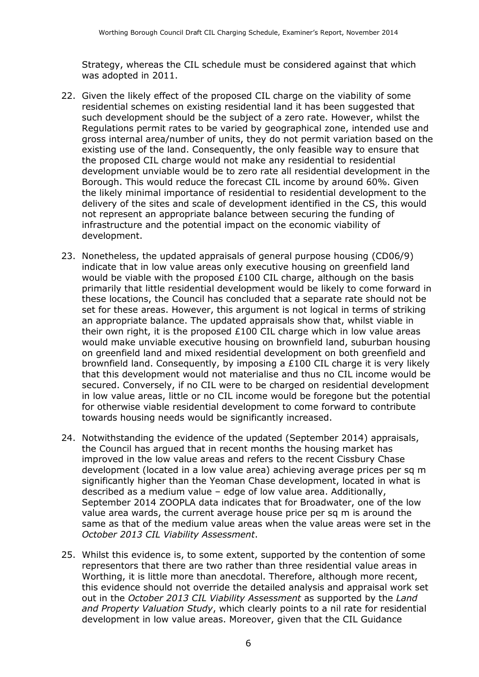Strategy, whereas the CIL schedule must be considered against that which was adopted in 2011.

- 22. Given the likely effect of the proposed CIL charge on the viability of some residential schemes on existing residential land it has been suggested that such development should be the subject of a zero rate. However, whilst the Regulations permit rates to be varied by geographical zone, intended use and gross internal area/number of units, they do not permit variation based on the existing use of the land. Consequently, the only feasible way to ensure that the proposed CIL charge would not make any residential to residential development unviable would be to zero rate all residential development in the Borough. This would reduce the forecast CIL income by around 60%. Given the likely minimal importance of residential to residential development to the delivery of the sites and scale of development identified in the CS, this would not represent an appropriate balance between securing the funding of infrastructure and the potential impact on the economic viability of development.
- 23. Nonetheless, the updated appraisals of general purpose housing (CD06/9) indicate that in low value areas only executive housing on greenfield land would be viable with the proposed  $£100$  CIL charge, although on the basis primarily that little residential development would be likely to come forward in these locations, the Council has concluded that a separate rate should not be set for these areas. However, this argument is not logical in terms of striking an appropriate balance. The updated appraisals show that, whilst viable in their own right, it is the proposed £100 CIL charge which in low value areas would make unviable executive housing on brownfield land, suburban housing on greenfield land and mixed residential development on both greenfield and brownfield land. Consequently, by imposing a £100 CIL charge it is very likely that this development would not materialise and thus no CIL income would be secured. Conversely, if no CIL were to be charged on residential development in low value areas, little or no CIL income would be foregone but the potential for otherwise viable residential development to come forward to contribute towards housing needs would be significantly increased.
- 24. Notwithstanding the evidence of the updated (September 2014) appraisals, the Council has argued that in recent months the housing market has improved in the low value areas and refers to the recent Cissbury Chase development (located in a low value area) achieving average prices per sq m significantly higher than the Yeoman Chase development, located in what is described as a medium value – edge of low value area. Additionally, September 2014 ZOOPLA data indicates that for Broadwater, one of the low value area wards, the current average house price per sq m is around the same as that of the medium value areas when the value areas were set in the *October 2013 CIL Viability Assessment*.
- 25. Whilst this evidence is, to some extent, supported by the contention of some representors that there are two rather than three residential value areas in Worthing, it is little more than anecdotal. Therefore, although more recent, this evidence should not override the detailed analysis and appraisal work set out in the *October 2013 CIL Viability Assessment* as supported by the *Land and Property Valuation Study*, which clearly points to a nil rate for residential development in low value areas. Moreover, given that the CIL Guidance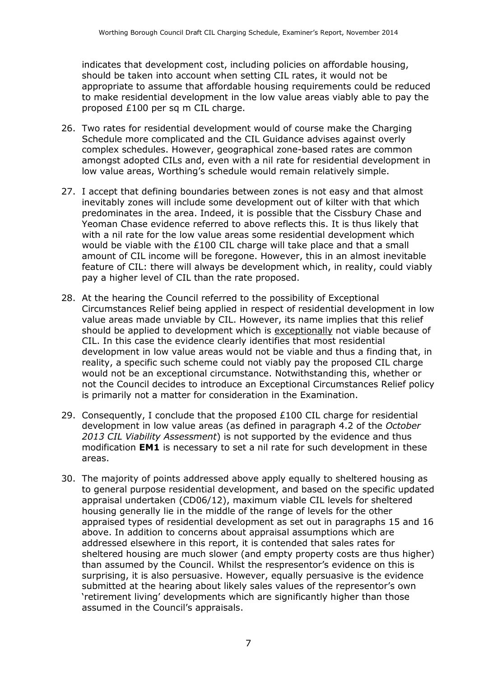indicates that development cost, including policies on affordable housing, should be taken into account when setting CIL rates, it would not be appropriate to assume that affordable housing requirements could be reduced to make residential development in the low value areas viably able to pay the proposed £100 per sq m CIL charge.

- 26. Two rates for residential development would of course make the Charging Schedule more complicated and the CIL Guidance advises against overly complex schedules. However, geographical zone-based rates are common amongst adopted CILs and, even with a nil rate for residential development in low value areas, Worthing's schedule would remain relatively simple.
- 27. I accept that defining boundaries between zones is not easy and that almost inevitably zones will include some development out of kilter with that which predominates in the area. Indeed, it is possible that the Cissbury Chase and Yeoman Chase evidence referred to above reflects this. It is thus likely that with a nil rate for the low value areas some residential development which would be viable with the £100 CIL charge will take place and that a small amount of CIL income will be foregone. However, this in an almost inevitable feature of CIL: there will always be development which, in reality, could viably pay a higher level of CIL than the rate proposed.
- 28. At the hearing the Council referred to the possibility of Exceptional Circumstances Relief being applied in respect of residential development in low value areas made unviable by CIL. However, its name implies that this relief should be applied to development which is exceptionally not viable because of CIL. In this case the evidence clearly identifies that most residential development in low value areas would not be viable and thus a finding that, in reality, a specific such scheme could not viably pay the proposed CIL charge would not be an exceptional circumstance. Notwithstanding this, whether or not the Council decides to introduce an Exceptional Circumstances Relief policy is primarily not a matter for consideration in the Examination.
- 29. Consequently, I conclude that the proposed £100 CIL charge for residential development in low value areas (as defined in paragraph 4.2 of the *October 2013 CIL Viability Assessment*) is not supported by the evidence and thus modification **EM1** is necessary to set a nil rate for such development in these areas.
- 30. The majority of points addressed above apply equally to sheltered housing as to general purpose residential development, and based on the specific updated appraisal undertaken (CD06/12), maximum viable CIL levels for sheltered housing generally lie in the middle of the range of levels for the other appraised types of residential development as set out in paragraphs 15 and 16 above. In addition to concerns about appraisal assumptions which are addressed elsewhere in this report, it is contended that sales rates for sheltered housing are much slower (and empty property costs are thus higher) than assumed by the Council. Whilst the respresentor's evidence on this is surprising, it is also persuasive. However, equally persuasive is the evidence submitted at the hearing about likely sales values of the representor's own 'retirement living' developments which are significantly higher than those assumed in the Council's appraisals.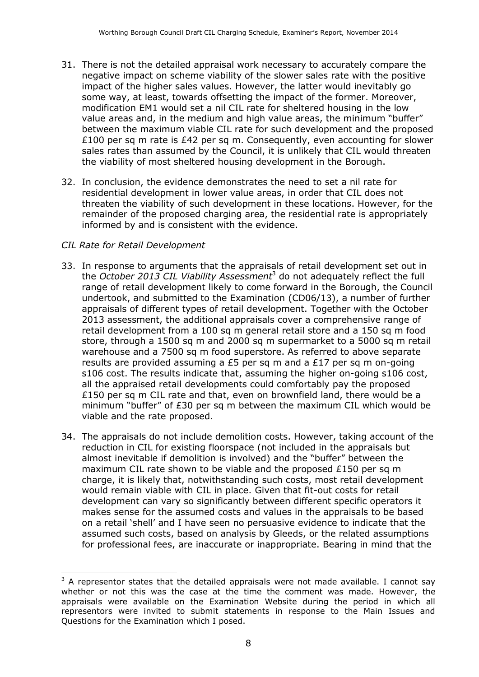- 31. There is not the detailed appraisal work necessary to accurately compare the negative impact on scheme viability of the slower sales rate with the positive impact of the higher sales values. However, the latter would inevitably go some way, at least, towards offsetting the impact of the former. Moreover, modification EM1 would set a nil CIL rate for sheltered housing in the low value areas and, in the medium and high value areas, the minimum "buffer" between the maximum viable CIL rate for such development and the proposed £100 per sq m rate is £42 per sq m. Consequently, even accounting for slower sales rates than assumed by the Council, it is unlikely that CIL would threaten the viability of most sheltered housing development in the Borough.
- 32. In conclusion, the evidence demonstrates the need to set a nil rate for residential development in lower value areas, in order that CIL does not threaten the viability of such development in these locations. However, for the remainder of the proposed charging area, the residential rate is appropriately informed by and is consistent with the evidence.

# *CIL Rate for Retail Development*

j

- 33. In response to arguments that the appraisals of retail development set out in the *October 2013 CIL Viability Assessment*<sup>3</sup> do not adequately reflect the full range of retail development likely to come forward in the Borough, the Council undertook, and submitted to the Examination (CD06/13), a number of further appraisals of different types of retail development. Together with the October 2013 assessment, the additional appraisals cover a comprehensive range of retail development from a 100 sq m general retail store and a 150 sq m food store, through a 1500 sq m and 2000 sq m supermarket to a 5000 sq m retail warehouse and a 7500 sq m food superstore. As referred to above separate results are provided assuming a £5 per sq m and a £17 per sq m on-going s106 cost. The results indicate that, assuming the higher on-going s106 cost, all the appraised retail developments could comfortably pay the proposed £150 per sq m CIL rate and that, even on brownfield land, there would be a minimum "buffer" of £30 per sq m between the maximum CIL which would be viable and the rate proposed.
- 34. The appraisals do not include demolition costs. However, taking account of the reduction in CIL for existing floorspace (not included in the appraisals but almost inevitable if demolition is involved) and the "buffer" between the maximum CIL rate shown to be viable and the proposed £150 per sq m charge, it is likely that, notwithstanding such costs, most retail development would remain viable with CIL in place. Given that fit-out costs for retail development can vary so significantly between different specific operators it makes sense for the assumed costs and values in the appraisals to be based on a retail 'shell' and I have seen no persuasive evidence to indicate that the assumed such costs, based on analysis by Gleeds, or the related assumptions for professional fees, are inaccurate or inappropriate. Bearing in mind that the

 $3$  A representor states that the detailed appraisals were not made available. I cannot say whether or not this was the case at the time the comment was made. However, the appraisals were available on the Examination Website during the period in which all representors were invited to submit statements in response to the Main Issues and Questions for the Examination which I posed.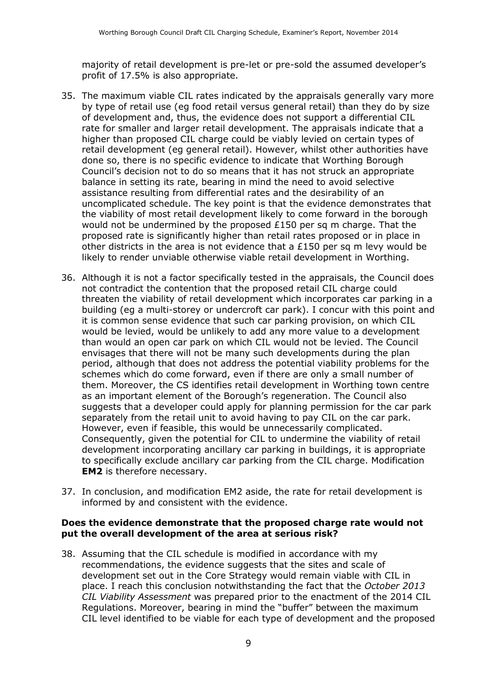majority of retail development is pre-let or pre-sold the assumed developer's profit of 17.5% is also appropriate.

- 35. The maximum viable CIL rates indicated by the appraisals generally vary more by type of retail use (eg food retail versus general retail) than they do by size of development and, thus, the evidence does not support a differential CIL rate for smaller and larger retail development. The appraisals indicate that a higher than proposed CIL charge could be viably levied on certain types of retail development (eg general retail). However, whilst other authorities have done so, there is no specific evidence to indicate that Worthing Borough Council's decision not to do so means that it has not struck an appropriate balance in setting its rate, bearing in mind the need to avoid selective assistance resulting from differential rates and the desirability of an uncomplicated schedule. The key point is that the evidence demonstrates that the viability of most retail development likely to come forward in the borough would not be undermined by the proposed £150 per sq m charge. That the proposed rate is significantly higher than retail rates proposed or in place in other districts in the area is not evidence that a £150 per sq m levy would be likely to render unviable otherwise viable retail development in Worthing.
- 36. Although it is not a factor specifically tested in the appraisals, the Council does not contradict the contention that the proposed retail CIL charge could threaten the viability of retail development which incorporates car parking in a building (eg a multi-storey or undercroft car park). I concur with this point and it is common sense evidence that such car parking provision, on which CIL would be levied, would be unlikely to add any more value to a development than would an open car park on which CIL would not be levied. The Council envisages that there will not be many such developments during the plan period, although that does not address the potential viability problems for the schemes which do come forward, even if there are only a small number of them. Moreover, the CS identifies retail development in Worthing town centre as an important element of the Borough's regeneration. The Council also suggests that a developer could apply for planning permission for the car park separately from the retail unit to avoid having to pay CIL on the car park. However, even if feasible, this would be unnecessarily complicated. Consequently, given the potential for CIL to undermine the viability of retail development incorporating ancillary car parking in buildings, it is appropriate to specifically exclude ancillary car parking from the CIL charge. Modification **EM2** is therefore necessary.
- 37. In conclusion, and modification EM2 aside, the rate for retail development is informed by and consistent with the evidence.

#### **Does the evidence demonstrate that the proposed charge rate would not put the overall development of the area at serious risk?**

38. Assuming that the CIL schedule is modified in accordance with my recommendations, the evidence suggests that the sites and scale of development set out in the Core Strategy would remain viable with CIL in place. I reach this conclusion notwithstanding the fact that the *October 2013 CIL Viability Assessment* was prepared prior to the enactment of the 2014 CIL Regulations. Moreover, bearing in mind the "buffer" between the maximum CIL level identified to be viable for each type of development and the proposed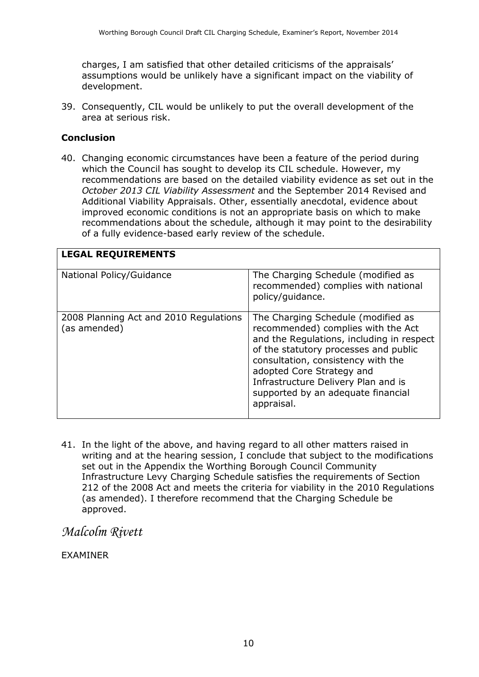charges, I am satisfied that other detailed criticisms of the appraisals' assumptions would be unlikely have a significant impact on the viability of development.

39. Consequently, CIL would be unlikely to put the overall development of the area at serious risk.

### **Conclusion**

40. Changing economic circumstances have been a feature of the period during which the Council has sought to develop its CIL schedule. However, my recommendations are based on the detailed viability evidence as set out in the *October 2013 CIL Viability Assessment* and the September 2014 Revised and Additional Viability Appraisals. Other, essentially anecdotal, evidence about improved economic conditions is not an appropriate basis on which to make recommendations about the schedule, although it may point to the desirability of a fully evidence-based early review of the schedule.

| <b>LEGAL REQUIREMENTS</b>                              |                                                                                                                                                                                                                                                                                                                              |  |
|--------------------------------------------------------|------------------------------------------------------------------------------------------------------------------------------------------------------------------------------------------------------------------------------------------------------------------------------------------------------------------------------|--|
| National Policy/Guidance                               | The Charging Schedule (modified as<br>recommended) complies with national<br>policy/guidance.                                                                                                                                                                                                                                |  |
| 2008 Planning Act and 2010 Regulations<br>(as amended) | The Charging Schedule (modified as<br>recommended) complies with the Act<br>and the Regulations, including in respect<br>of the statutory processes and public<br>consultation, consistency with the<br>adopted Core Strategy and<br>Infrastructure Delivery Plan and is<br>supported by an adequate financial<br>appraisal. |  |

41. In the light of the above, and having regard to all other matters raised in writing and at the hearing session, I conclude that subject to the modifications set out in the Appendix the Worthing Borough Council Community Infrastructure Levy Charging Schedule satisfies the requirements of Section 212 of the 2008 Act and meets the criteria for viability in the 2010 Regulations (as amended). I therefore recommend that the Charging Schedule be approved.

*Malcolm Rivett*

EXAMINER